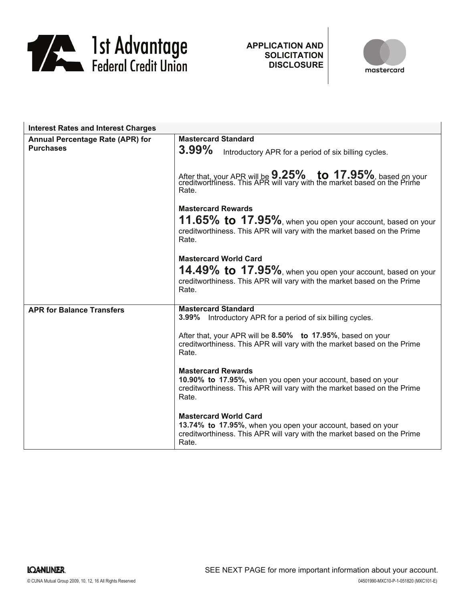

**APPLICATION AND SOLICITATION DISCLOSURE**



| <b>Interest Rates and Interest Charges</b>                  |                                                                                                                                                                                 |
|-------------------------------------------------------------|---------------------------------------------------------------------------------------------------------------------------------------------------------------------------------|
| <b>Annual Percentage Rate (APR) for</b><br><b>Purchases</b> | <b>Mastercard Standard</b><br>$3.99\%$<br>Introductory APR for a period of six billing cycles.                                                                                  |
|                                                             | After that, your APR will be <b>9.25%</b> to 17.95%, based on your creditworthiness. This APR will vary with the market based on the Prime<br>Rate.                             |
|                                                             | <b>Mastercard Rewards</b><br>11.65% to 17.95%, when you open your account, based on your<br>creditworthiness. This APR will vary with the market based on the Prime<br>Rate.    |
|                                                             | <b>Mastercard World Card</b><br>14.49% to 17.95%, when you open your account, based on your<br>creditworthiness. This APR will vary with the market based on the Prime<br>Rate. |
| <b>APR for Balance Transfers</b>                            | <b>Mastercard Standard</b><br>3.99% Introductory APR for a period of six billing cycles.                                                                                        |
|                                                             | After that, your APR will be 8.50% to 17.95%, based on your<br>creditworthiness. This APR will vary with the market based on the Prime<br>Rate.                                 |
|                                                             | <b>Mastercard Rewards</b><br>10.90% to 17.95%, when you open your account, based on your<br>creditworthiness. This APR will vary with the market based on the Prime<br>Rate.    |
|                                                             | <b>Mastercard World Card</b><br>13.74% to 17.95%, when you open your account, based on your<br>creditworthiness. This APR will vary with the market based on the Prime<br>Rate. |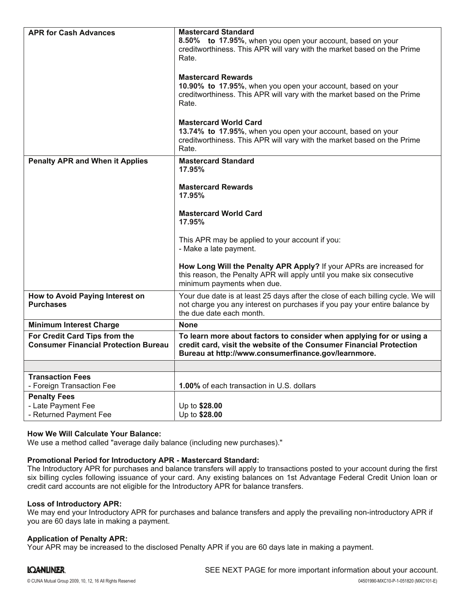| <b>APR for Cash Advances</b>                                                 | <b>Mastercard Standard</b><br>8.50% to 17.95%, when you open your account, based on your<br>creditworthiness. This APR will vary with the market based on the Prime<br>Rate.<br><b>Mastercard Rewards</b><br>10.90% to 17.95%, when you open your account, based on your<br>creditworthiness. This APR will vary with the market based on the Prime<br>Rate.<br><b>Mastercard World Card</b> |
|------------------------------------------------------------------------------|----------------------------------------------------------------------------------------------------------------------------------------------------------------------------------------------------------------------------------------------------------------------------------------------------------------------------------------------------------------------------------------------|
|                                                                              | 13.74% to 17.95%, when you open your account, based on your<br>creditworthiness. This APR will vary with the market based on the Prime<br>Rate.                                                                                                                                                                                                                                              |
| <b>Penalty APR and When it Applies</b>                                       | <b>Mastercard Standard</b><br>17.95%                                                                                                                                                                                                                                                                                                                                                         |
|                                                                              | <b>Mastercard Rewards</b><br>17.95%                                                                                                                                                                                                                                                                                                                                                          |
|                                                                              | <b>Mastercard World Card</b><br>17.95%                                                                                                                                                                                                                                                                                                                                                       |
|                                                                              | This APR may be applied to your account if you:<br>- Make a late payment.                                                                                                                                                                                                                                                                                                                    |
|                                                                              | How Long Will the Penalty APR Apply? If your APRs are increased for<br>this reason, the Penalty APR will apply until you make six consecutive<br>minimum payments when due.                                                                                                                                                                                                                  |
| How to Avoid Paying Interest on<br><b>Purchases</b>                          | Your due date is at least 25 days after the close of each billing cycle. We will<br>not charge you any interest on purchases if you pay your entire balance by<br>the due date each month.                                                                                                                                                                                                   |
| <b>Minimum Interest Charge</b>                                               | <b>None</b>                                                                                                                                                                                                                                                                                                                                                                                  |
| For Credit Card Tips from the<br><b>Consumer Financial Protection Bureau</b> | To learn more about factors to consider when applying for or using a<br>credit card, visit the website of the Consumer Financial Protection<br>Bureau at http://www.consumerfinance.gov/learnmore.                                                                                                                                                                                           |
|                                                                              |                                                                                                                                                                                                                                                                                                                                                                                              |
| <b>Transaction Fees</b><br>- Foreign Transaction Fee                         | 1.00% of each transaction in U.S. dollars                                                                                                                                                                                                                                                                                                                                                    |
| <b>Penalty Fees</b><br>- Late Payment Fee<br>- Returned Payment Fee          | Up to \$28.00<br>Up to \$28.00                                                                                                                                                                                                                                                                                                                                                               |

# **How We Will Calculate Your Balance:**

We use a method called "average daily balance (including new purchases)."

### **Promotional Period for Introductory APR - Mastercard Standard:**

The Introductory APR for purchases and balance transfers will apply to transactions posted to your account during the first six billing cycles following issuance of your card. Any existing balances on 1st Advantage Federal Credit Union loan or credit card accounts are not eligible for the Introductory APR for balance transfers.

#### **Loss of Introductory APR:**

We may end your Introductory APR for purchases and balance transfers and apply the prevailing non-introductory APR if you are 60 days late in making a payment.

### **Application of Penalty APR:**

Your APR may be increased to the disclosed Penalty APR if you are 60 days late in making a payment.